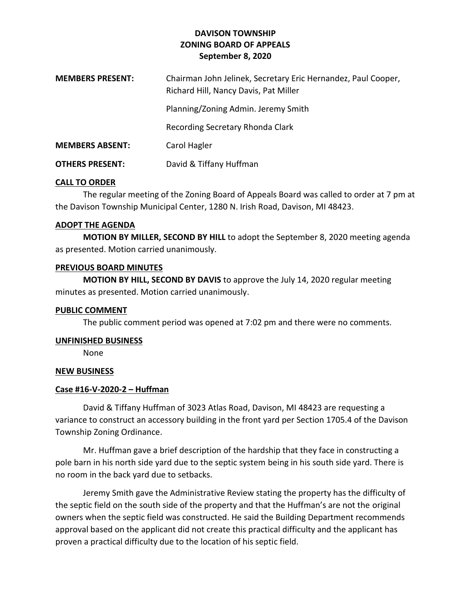# **DAVISON TOWNSHIP ZONING BOARD OF APPEALS September 8, 2020**

| <b>MEMBERS PRESENT:</b> | Chairman John Jelinek, Secretary Eric Hernandez, Paul Cooper,<br>Richard Hill, Nancy Davis, Pat Miller |
|-------------------------|--------------------------------------------------------------------------------------------------------|
|                         | Planning/Zoning Admin. Jeremy Smith                                                                    |
|                         | Recording Secretary Rhonda Clark                                                                       |
| <b>MEMBERS ABSENT:</b>  | Carol Hagler                                                                                           |
| <b>OTHERS PRESENT:</b>  | David & Tiffany Huffman                                                                                |

## **CALL TO ORDER**

The regular meeting of the Zoning Board of Appeals Board was called to order at 7 pm at the Davison Township Municipal Center, 1280 N. Irish Road, Davison, MI 48423.

## **ADOPT THE AGENDA**

**MOTION BY MILLER, SECOND BY HILL** to adopt the September 8, 2020 meeting agenda as presented. Motion carried unanimously.

## **PREVIOUS BOARD MINUTES**

**MOTION BY HILL, SECOND BY DAVIS** to approve the July 14, 2020 regular meeting minutes as presented. Motion carried unanimously.

## **PUBLIC COMMENT**

The public comment period was opened at 7:02 pm and there were no comments.

#### **UNFINISHED BUSINESS**

None

## **NEW BUSINESS**

## **Case #16-V-2020-2 – Huffman**

David & Tiffany Huffman of 3023 Atlas Road, Davison, MI 48423 are requesting a variance to construct an accessory building in the front yard per Section 1705.4 of the Davison Township Zoning Ordinance.

Mr. Huffman gave a brief description of the hardship that they face in constructing a pole barn in his north side yard due to the septic system being in his south side yard. There is no room in the back yard due to setbacks.

Jeremy Smith gave the Administrative Review stating the property has the difficulty of the septic field on the south side of the property and that the Huffman's are not the original owners when the septic field was constructed. He said the Building Department recommends approval based on the applicant did not create this practical difficulty and the applicant has proven a practical difficulty due to the location of his septic field.